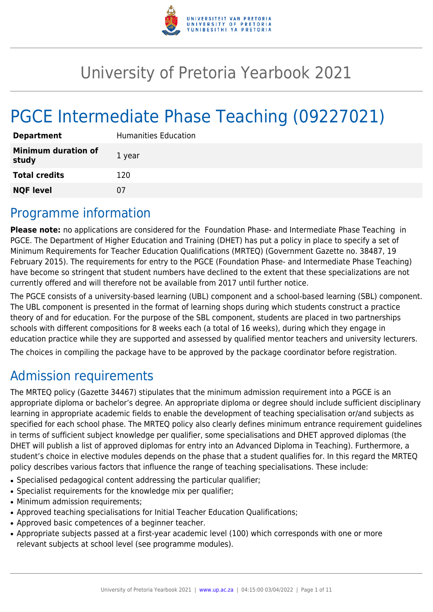

# University of Pretoria Yearbook 2021

# PGCE Intermediate Phase Teaching (09227021)

| <b>Department</b>                   | <b>Humanities Education</b> |
|-------------------------------------|-----------------------------|
| <b>Minimum duration of</b><br>study | 1 year                      |
| <b>Total credits</b>                | 120                         |
| <b>NQF level</b>                    | 07                          |

# Programme information

**Please note:** no applications are considered for the Foundation Phase- and Intermediate Phase Teaching in PGCE. The Department of Higher Education and Training (DHET) has put a policy in place to specify a set of Minimum Requirements for Teacher Education Qualifications (MRTEQ) (Government Gazette no. 38487, 19 February 2015). The requirements for entry to the PGCE (Foundation Phase- and Intermediate Phase Teaching) have become so stringent that student numbers have declined to the extent that these specializations are not currently offered and will therefore not be available from 2017 until further notice.

The PGCE consists of a university-based learning (UBL) component and a school-based learning (SBL) component. The UBL component is presented in the format of learning shops during which students construct a practice theory of and for education. For the purpose of the SBL component, students are placed in two partnerships schools with different compositions for 8 weeks each (a total of 16 weeks), during which they engage in education practice while they are supported and assessed by qualified mentor teachers and university lecturers.

The choices in compiling the package have to be approved by the package coordinator before registration.

# Admission requirements

The MRTEQ policy (Gazette 34467) stipulates that the minimum admission requirement into a PGCE is an appropriate diploma or bachelor's degree. An appropriate diploma or degree should include sufficient disciplinary learning in appropriate academic fields to enable the development of teaching specialisation or/and subjects as specified for each school phase. The MRTEQ policy also clearly defines minimum entrance requirement guidelines in terms of sufficient subject knowledge per qualifier, some specialisations and DHET approved diplomas (the DHET will publish a list of approved diplomas for entry into an Advanced Diploma in Teaching). Furthermore, a student's choice in elective modules depends on the phase that a student qualifies for. In this regard the MRTEQ policy describes various factors that influence the range of teaching specialisations. These include:

- Specialised pedagogical content addressing the particular qualifier;
- Specialist requirements for the knowledge mix per qualifier;
- Minimum admission requirements;
- Approved teaching specialisations for Initial Teacher Education Qualifications;
- Approved basic competences of a beginner teacher.
- Appropriate subjects passed at a first-year academic level (100) which corresponds with one or more relevant subjects at school level (see programme modules).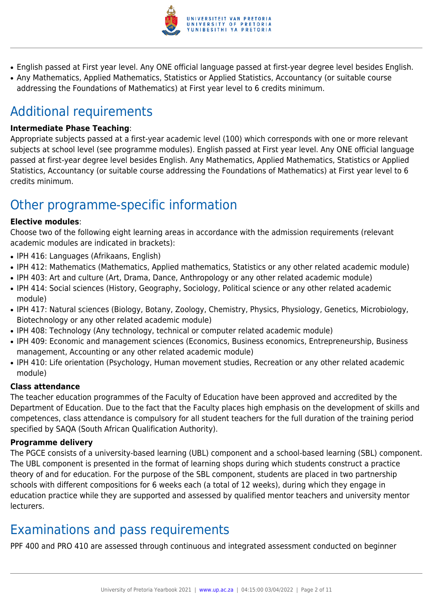

- English passed at First year level. Any ONE official language passed at first-year degree level besides English.
- Any Mathematics, Applied Mathematics, Statistics or Applied Statistics, Accountancy (or suitable course addressing the Foundations of Mathematics) at First year level to 6 credits minimum.

# Additional requirements

### **Intermediate Phase Teaching**:

Appropriate subjects passed at a first-year academic level (100) which corresponds with one or more relevant subjects at school level (see programme modules). English passed at First year level. Any ONE official language passed at first-year degree level besides English. Any Mathematics, Applied Mathematics, Statistics or Applied Statistics, Accountancy (or suitable course addressing the Foundations of Mathematics) at First year level to 6 credits minimum.

# Other programme-specific information

### **Elective modules**:

Choose two of the following eight learning areas in accordance with the admission requirements (relevant academic modules are indicated in brackets):

- IPH 416: Languages (Afrikaans, English)
- IPH 412: Mathematics (Mathematics, Applied mathematics, Statistics or any other related academic module)
- IPH 403: Art and culture (Art, Drama, Dance, Anthropology or any other related academic module)
- IPH 414: Social sciences (History, Geography, Sociology, Political science or any other related academic module)
- IPH 417: Natural sciences (Biology, Botany, Zoology, Chemistry, Physics, Physiology, Genetics, Microbiology, Biotechnology or any other related academic module)
- IPH 408: Technology (Any technology, technical or computer related academic module)
- IPH 409: Economic and management sciences (Economics, Business economics, Entrepreneurship, Business management, Accounting or any other related academic module)
- IPH 410: Life orientation (Psychology, Human movement studies, Recreation or any other related academic module)

# **Class attendance**

The teacher education programmes of the Faculty of Education have been approved and accredited by the Department of Education. Due to the fact that the Faculty places high emphasis on the development of skills and competences, class attendance is compulsory for all student teachers for the full duration of the training period specified by SAQA (South African Qualification Authority).

### **Programme delivery**

The PGCE consists of a university-based learning (UBL) component and a school-based learning (SBL) component. The UBL component is presented in the format of learning shops during which students construct a practice theory of and for education. For the purpose of the SBL component, students are placed in two partnership schools with different compositions for 6 weeks each (a total of 12 weeks), during which they engage in education practice while they are supported and assessed by qualified mentor teachers and university mentor lecturers.

# Examinations and pass requirements

PPF 400 and PRO 410 are assessed through continuous and integrated assessment conducted on beginner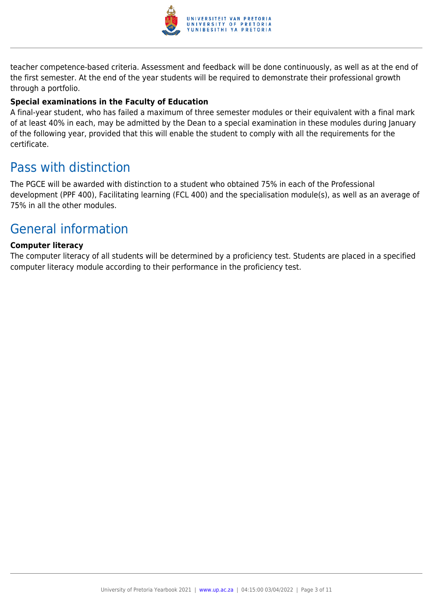

teacher competence-based criteria. Assessment and feedback will be done continuously, as well as at the end of the first semester. At the end of the year students will be required to demonstrate their professional growth through a portfolio.

#### **Special examinations in the Faculty of Education**

A final-year student, who has failed a maximum of three semester modules or their equivalent with a final mark of at least 40% in each, may be admitted by the Dean to a special examination in these modules during January of the following year, provided that this will enable the student to comply with all the requirements for the certificate.

# Pass with distinction

The PGCE will be awarded with distinction to a student who obtained 75% in each of the Professional development (PPF 400), Facilitating learning (FCL 400) and the specialisation module(s), as well as an average of 75% in all the other modules.

# General information

#### **Computer literacy**

The computer literacy of all students will be determined by a proficiency test. Students are placed in a specified computer literacy module according to their performance in the proficiency test.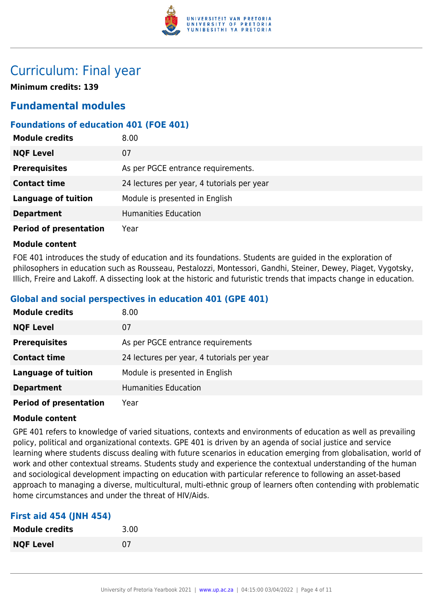

# Curriculum: Final year

**Minimum credits: 139**

# **Fundamental modules**

# **Foundations of education 401 (FOE 401)**

| <b>Module credits</b>         | 8.00                                       |
|-------------------------------|--------------------------------------------|
| <b>NQF Level</b>              | 07                                         |
| <b>Prerequisites</b>          | As per PGCE entrance requirements.         |
| <b>Contact time</b>           | 24 lectures per year, 4 tutorials per year |
| <b>Language of tuition</b>    | Module is presented in English             |
| <b>Department</b>             | <b>Humanities Education</b>                |
| <b>Period of presentation</b> | Year                                       |

#### **Module content**

FOE 401 introduces the study of education and its foundations. Students are guided in the exploration of philosophers in education such as Rousseau, Pestalozzi, Montessori, Gandhi, Steiner, Dewey, Piaget, Vygotsky, Illich, Freire and Lakoff. A dissecting look at the historic and futuristic trends that impacts change in education.

# **Global and social perspectives in education 401 (GPE 401)**

| <b>Module credits</b>         | 8.00                                       |
|-------------------------------|--------------------------------------------|
| <b>NQF Level</b>              | 07                                         |
| <b>Prerequisites</b>          | As per PGCE entrance requirements          |
| <b>Contact time</b>           | 24 lectures per year, 4 tutorials per year |
| <b>Language of tuition</b>    | Module is presented in English             |
| <b>Department</b>             | <b>Humanities Education</b>                |
| <b>Period of presentation</b> | Year                                       |

### **Module content**

GPE 401 refers to knowledge of varied situations, contexts and environments of education as well as prevailing policy, political and organizational contexts. GPE 401 is driven by an agenda of social justice and service learning where students discuss dealing with future scenarios in education emerging from globalisation, world of work and other contextual streams. Students study and experience the contextual understanding of the human and sociological development impacting on education with particular reference to following an asset-based approach to managing a diverse, multicultural, multi-ethnic group of learners often contending with problematic home circumstances and under the threat of HIV/Aids.

### **First aid 454 (JNH 454)**

| <b>Module credits</b> | 3.00 |
|-----------------------|------|
| <b>NQF Level</b>      | 07   |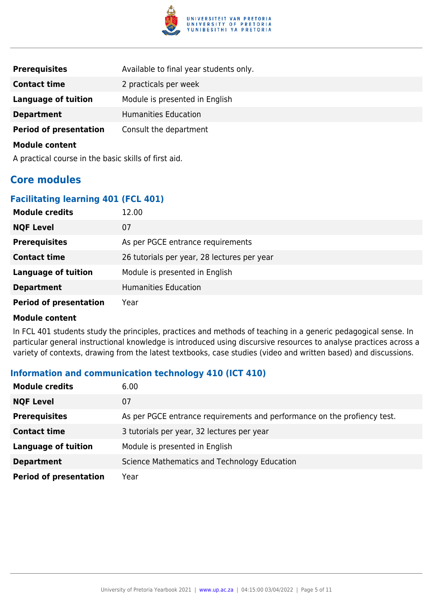

| <b>Prerequisites</b>          | Available to final year students only. |
|-------------------------------|----------------------------------------|
| <b>Contact time</b>           | 2 practicals per week                  |
| <b>Language of tuition</b>    | Module is presented in English         |
| <b>Department</b>             | <b>Humanities Education</b>            |
| <b>Period of presentation</b> | Consult the department                 |

A practical course in the basic skills of first aid.

# **Core modules**

### **Facilitating learning 401 (FCL 401)**

| <b>Module credits</b>         | 12.00                                       |
|-------------------------------|---------------------------------------------|
| <b>NQF Level</b>              | 07                                          |
| <b>Prerequisites</b>          | As per PGCE entrance requirements           |
| <b>Contact time</b>           | 26 tutorials per year, 28 lectures per year |
| <b>Language of tuition</b>    | Module is presented in English              |
| <b>Department</b>             | <b>Humanities Education</b>                 |
| <b>Period of presentation</b> | Year                                        |

#### **Module content**

In FCL 401 students study the principles, practices and methods of teaching in a generic pedagogical sense. In particular general instructional knowledge is introduced using discursive resources to analyse practices across a variety of contexts, drawing from the latest textbooks, case studies (video and written based) and discussions.

# **Information and communication technology 410 (ICT 410)**

| <b>Module credits</b>         | 6.00                                                                     |
|-------------------------------|--------------------------------------------------------------------------|
| <b>NQF Level</b>              | 07                                                                       |
| <b>Prerequisites</b>          | As per PGCE entrance requirements and performance on the profiency test. |
| <b>Contact time</b>           | 3 tutorials per year, 32 lectures per year                               |
| <b>Language of tuition</b>    | Module is presented in English                                           |
| <b>Department</b>             | Science Mathematics and Technology Education                             |
| <b>Period of presentation</b> | Year                                                                     |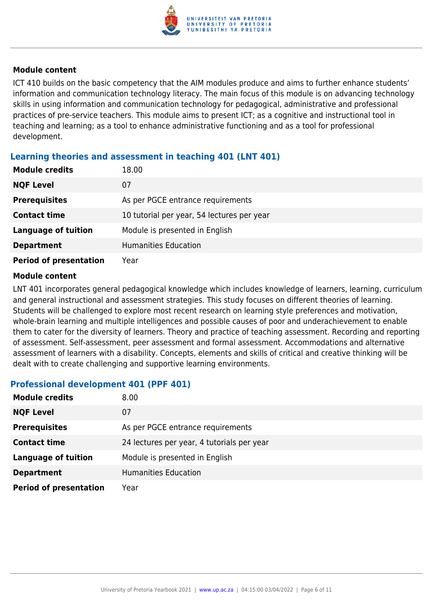

ICT 410 builds on the basic competency that the AIM modules produce and aims to further enhance students' information and communication technology literacy. The main focus of this module is on advancing technology skills in using information and communication technology for pedagogical, administrative and professional practices of pre-service teachers. This module aims to present ICT; as a cognitive and instructional tool in teaching and learning; as a tool to enhance administrative functioning and as a tool for professional development.

# **Learning theories and assessment in teaching 401 (LNT 401)**

| <b>Module credits</b>         | 18.00                                      |
|-------------------------------|--------------------------------------------|
| <b>NQF Level</b>              | 07                                         |
| <b>Prerequisites</b>          | As per PGCE entrance requirements          |
| <b>Contact time</b>           | 10 tutorial per year, 54 lectures per year |
| <b>Language of tuition</b>    | Module is presented in English             |
| <b>Department</b>             | <b>Humanities Education</b>                |
| <b>Period of presentation</b> | Year                                       |

### **Module content**

LNT 401 incorporates general pedagogical knowledge which includes knowledge of learners, learning, curriculum and general instructional and assessment strategies. This study focuses on different theories of learning. Students will be challenged to explore most recent research on learning style preferences and motivation, whole-brain learning and multiple intelligences and possible causes of poor and underachievement to enable them to cater for the diversity of learners. Theory and practice of teaching assessment. Recording and reporting of assessment. Self-assessment, peer assessment and formal assessment. Accommodations and alternative assessment of learners with a disability. Concepts, elements and skills of critical and creative thinking will be dealt with to create challenging and supportive learning environments.

# **Professional development 401 (PPF 401)**

| <b>Module credits</b>         | 8.00                                       |
|-------------------------------|--------------------------------------------|
| <b>NQF Level</b>              | 07                                         |
| <b>Prerequisites</b>          | As per PGCE entrance requirements          |
| <b>Contact time</b>           | 24 lectures per year, 4 tutorials per year |
| <b>Language of tuition</b>    | Module is presented in English             |
| <b>Department</b>             | <b>Humanities Education</b>                |
| <b>Period of presentation</b> | Year                                       |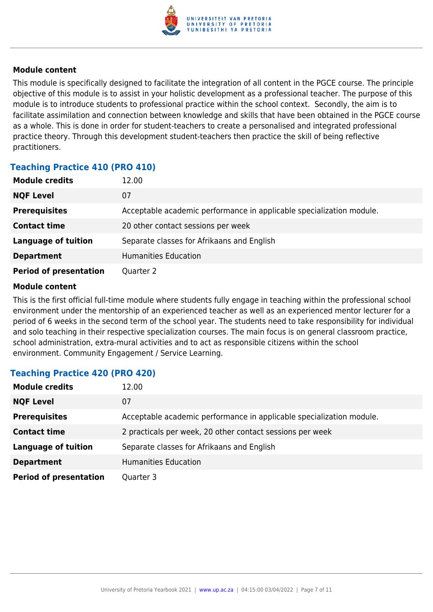

This module is specifically designed to facilitate the integration of all content in the PGCE course. The principle objective of this module is to assist in your holistic development as a professional teacher. The purpose of this module is to introduce students to professional practice within the school context. Secondly, the aim is to facilitate assimilation and connection between knowledge and skills that have been obtained in the PGCE course as a whole. This is done in order for student-teachers to create a personalised and integrated professional practice theory. Through this development student-teachers then practice the skill of being reflective practitioners.

# **Teaching Practice 410 (PRO 410)**

| <b>Module credits</b>         | 12.00                                                                |
|-------------------------------|----------------------------------------------------------------------|
| <b>NQF Level</b>              | 07                                                                   |
| <b>Prerequisites</b>          | Acceptable academic performance in applicable specialization module. |
| <b>Contact time</b>           | 20 other contact sessions per week                                   |
| <b>Language of tuition</b>    | Separate classes for Afrikaans and English                           |
| <b>Department</b>             | <b>Humanities Education</b>                                          |
| <b>Period of presentation</b> | Quarter 2                                                            |

### **Module content**

This is the first official full-time module where students fully engage in teaching within the professional school environment under the mentorship of an experienced teacher as well as an experienced mentor lecturer for a period of 6 weeks in the second term of the school year. The students need to take responsibility for individual and solo teaching in their respective specialization courses. The main focus is on general classroom practice, school administration, extra-mural activities and to act as responsible citizens within the school environment. Community Engagement / Service Learning.

# **Teaching Practice 420 (PRO 420)**

| <b>Module credits</b>         | 12.00                                                                |
|-------------------------------|----------------------------------------------------------------------|
| <b>NQF Level</b>              | 07                                                                   |
| <b>Prerequisites</b>          | Acceptable academic performance in applicable specialization module. |
| <b>Contact time</b>           | 2 practicals per week, 20 other contact sessions per week            |
| <b>Language of tuition</b>    | Separate classes for Afrikaans and English                           |
| <b>Department</b>             | Humanities Education                                                 |
| <b>Period of presentation</b> | Quarter 3                                                            |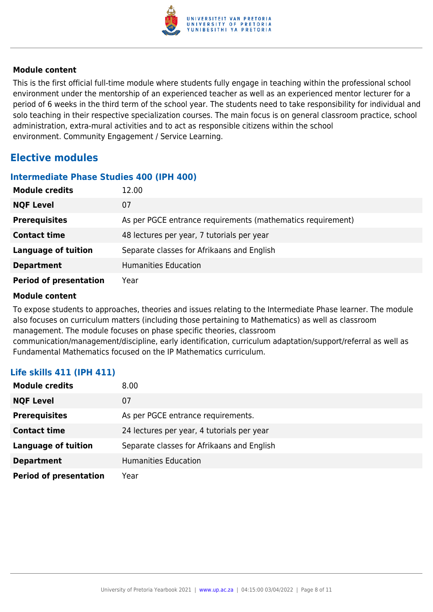

This is the first official full-time module where students fully engage in teaching within the professional school environment under the mentorship of an experienced teacher as well as an experienced mentor lecturer for a period of 6 weeks in the third term of the school year. The students need to take responsibility for individual and solo teaching in their respective specialization courses. The main focus is on general classroom practice, school administration, extra-mural activities and to act as responsible citizens within the school environment. Community Engagement / Service Learning.

# **Elective modules**

### **Intermediate Phase Studies 400 (IPH 400)**

| <b>Module credits</b>         | 12.00                                                       |
|-------------------------------|-------------------------------------------------------------|
| <b>NQF Level</b>              | 07                                                          |
| <b>Prerequisites</b>          | As per PGCE entrance requirements (mathematics requirement) |
| <b>Contact time</b>           | 48 lectures per year, 7 tutorials per year                  |
| <b>Language of tuition</b>    | Separate classes for Afrikaans and English                  |
| <b>Department</b>             | Humanities Education                                        |
| <b>Period of presentation</b> | Year                                                        |

### **Module content**

To expose students to approaches, theories and issues relating to the Intermediate Phase learner. The module also focuses on curriculum matters (including those pertaining to Mathematics) as well as classroom management. The module focuses on phase specific theories, classroom communication/management/discipline, early identification, curriculum adaptation/support/referral as well as Fundamental Mathematics focused on the IP Mathematics curriculum.

# **Life skills 411 (IPH 411)**

| <b>Module credits</b>         | 8.00                                       |
|-------------------------------|--------------------------------------------|
| <b>NQF Level</b>              | 07                                         |
| <b>Prerequisites</b>          | As per PGCE entrance requirements.         |
| <b>Contact time</b>           | 24 lectures per year, 4 tutorials per year |
| <b>Language of tuition</b>    | Separate classes for Afrikaans and English |
| <b>Department</b>             | <b>Humanities Education</b>                |
| <b>Period of presentation</b> | Year                                       |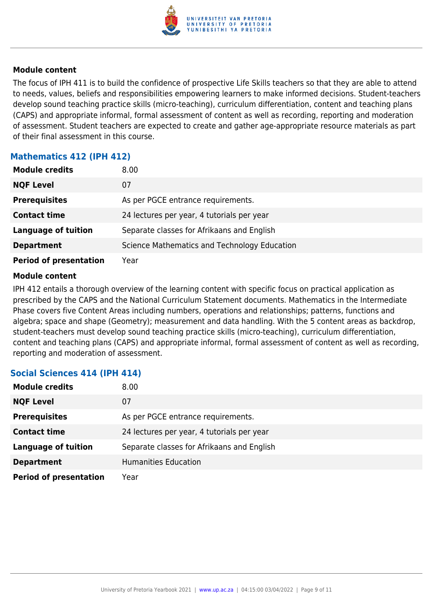

The focus of IPH 411 is to build the confidence of prospective Life Skills teachers so that they are able to attend to needs, values, beliefs and responsibilities empowering learners to make informed decisions. Student-teachers develop sound teaching practice skills (micro-teaching), curriculum differentiation, content and teaching plans (CAPS) and appropriate informal, formal assessment of content as well as recording, reporting and moderation of assessment. Student teachers are expected to create and gather age-appropriate resource materials as part of their final assessment in this course.

# **Mathematics 412 (IPH 412)**

| <b>Module credits</b>         | 8.00 <sub>1</sub>                            |
|-------------------------------|----------------------------------------------|
| <b>NQF Level</b>              | 07                                           |
| <b>Prerequisites</b>          | As per PGCE entrance requirements.           |
| <b>Contact time</b>           | 24 lectures per year, 4 tutorials per year   |
| <b>Language of tuition</b>    | Separate classes for Afrikaans and English   |
| <b>Department</b>             | Science Mathematics and Technology Education |
| <b>Period of presentation</b> | Year                                         |

#### **Module content**

IPH 412 entails a thorough overview of the learning content with specific focus on practical application as prescribed by the CAPS and the National Curriculum Statement documents. Mathematics in the Intermediate Phase covers five Content Areas including numbers, operations and relationships; patterns, functions and algebra; space and shape (Geometry); measurement and data handling. With the 5 content areas as backdrop, student-teachers must develop sound teaching practice skills (micro-teaching), curriculum differentiation, content and teaching plans (CAPS) and appropriate informal, formal assessment of content as well as recording, reporting and moderation of assessment.

# **Social Sciences 414 (IPH 414)**

| <b>Module credits</b>         | 8.00                                       |
|-------------------------------|--------------------------------------------|
| <b>NQF Level</b>              | 07                                         |
| <b>Prerequisites</b>          | As per PGCE entrance requirements.         |
| <b>Contact time</b>           | 24 lectures per year, 4 tutorials per year |
| <b>Language of tuition</b>    | Separate classes for Afrikaans and English |
| <b>Department</b>             | <b>Humanities Education</b>                |
| <b>Period of presentation</b> | Year                                       |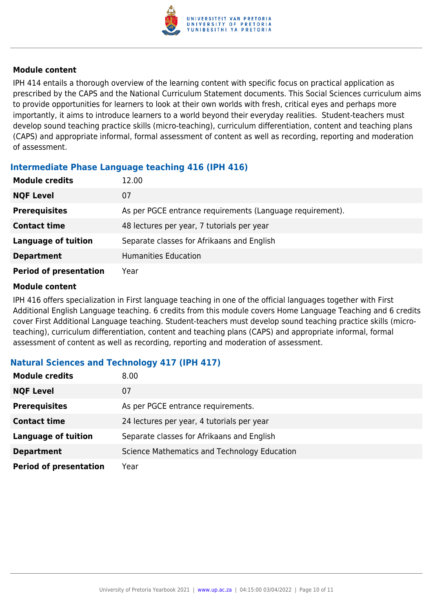

IPH 414 entails a thorough overview of the learning content with specific focus on practical application as prescribed by the CAPS and the National Curriculum Statement documents. This Social Sciences curriculum aims to provide opportunities for learners to look at their own worlds with fresh, critical eyes and perhaps more importantly, it aims to introduce learners to a world beyond their everyday realities. Student-teachers must develop sound teaching practice skills (micro-teaching), curriculum differentiation, content and teaching plans (CAPS) and appropriate informal, formal assessment of content as well as recording, reporting and moderation of assessment.

# **Intermediate Phase Language teaching 416 (IPH 416)**

| <b>Module credits</b>         | 12.00                                                     |
|-------------------------------|-----------------------------------------------------------|
| <b>NQF Level</b>              | 07                                                        |
| <b>Prerequisites</b>          | As per PGCE entrance requirements (Language requirement). |
| <b>Contact time</b>           | 48 lectures per year, 7 tutorials per year                |
| <b>Language of tuition</b>    | Separate classes for Afrikaans and English                |
| <b>Department</b>             | <b>Humanities Education</b>                               |
| <b>Period of presentation</b> | Year                                                      |

### **Module content**

IPH 416 offers specialization in First language teaching in one of the official languages together with First Additional English Language teaching. 6 credits from this module covers Home Language Teaching and 6 credits cover First Additional Language teaching. Student-teachers must develop sound teaching practice skills (microteaching), curriculum differentiation, content and teaching plans (CAPS) and appropriate informal, formal assessment of content as well as recording, reporting and moderation of assessment.

# **Natural Sciences and Technology 417 (IPH 417)**

| <b>Module credits</b>         | 8.00                                         |
|-------------------------------|----------------------------------------------|
| <b>NQF Level</b>              | 07                                           |
| <b>Prerequisites</b>          | As per PGCE entrance requirements.           |
| <b>Contact time</b>           | 24 lectures per year, 4 tutorials per year   |
| <b>Language of tuition</b>    | Separate classes for Afrikaans and English   |
| <b>Department</b>             | Science Mathematics and Technology Education |
| <b>Period of presentation</b> | Year                                         |